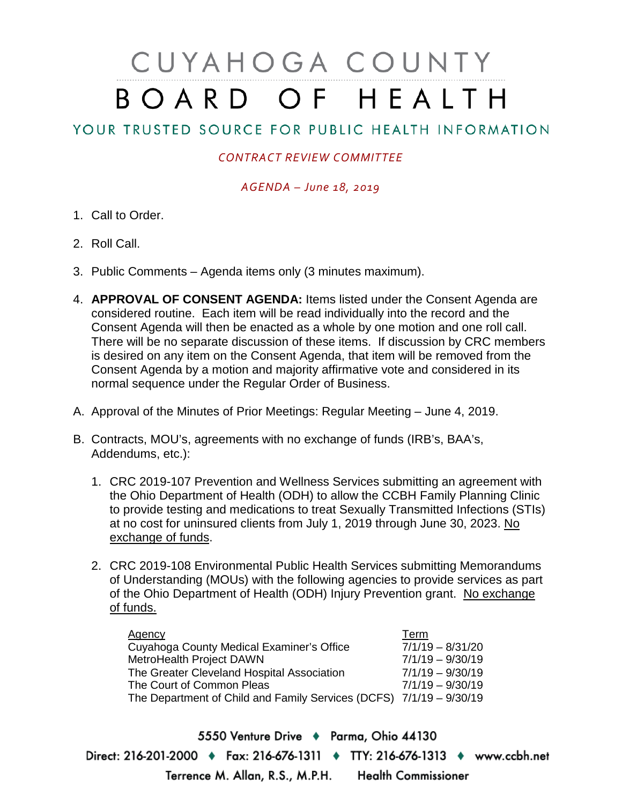# CUYAHOGA COUNTY BOARD OF HEALTH

## YOUR TRUSTED SOURCE FOR PUBLIC HEALTH INFORMATION

### *CONTRACT REVIEW COMMITTEE*

#### *AGENDA – June 18, 2019*

- 1. Call to Order.
- 2. Roll Call.
- 3. Public Comments Agenda items only (3 minutes maximum).
- 4. **APPROVAL OF CONSENT AGENDA:** Items listed under the Consent Agenda are considered routine. Each item will be read individually into the record and the Consent Agenda will then be enacted as a whole by one motion and one roll call. There will be no separate discussion of these items. If discussion by CRC members is desired on any item on the Consent Agenda, that item will be removed from the Consent Agenda by a motion and majority affirmative vote and considered in its normal sequence under the Regular Order of Business.
- A. Approval of the Minutes of Prior Meetings: Regular Meeting June 4, 2019.
- B. Contracts, MOU's, agreements with no exchange of funds (IRB's, BAA's, Addendums, etc.):
	- 1. CRC 2019-107 Prevention and Wellness Services submitting an agreement with the Ohio Department of Health (ODH) to allow the CCBH Family Planning Clinic to provide testing and medications to treat Sexually Transmitted Infections (STIs) at no cost for uninsured clients from July 1, 2019 through June 30, 2023. No exchange of funds.
	- 2. CRC 2019-108 Environmental Public Health Services submitting Memorandums of Understanding (MOUs) with the following agencies to provide services as part of the Ohio Department of Health (ODH) Injury Prevention grant. No exchange of funds.

| <b>Agency</b>                                                       | Term               |
|---------------------------------------------------------------------|--------------------|
| Cuyahoga County Medical Examiner's Office                           | $7/1/19 - 8/31/20$ |
| MetroHealth Project DAWN                                            | $7/1/19 - 9/30/19$ |
| The Greater Cleveland Hospital Association                          | $7/1/19 - 9/30/19$ |
| The Court of Common Pleas                                           | $7/1/19 - 9/30/19$ |
| The Department of Child and Family Services (DCFS) 7/1/19 - 9/30/19 |                    |

5550 Venture Drive + Parma, Ohio 44130 Direct: 216-201-2000 • Fax: 216-676-1311 • TTY: 216-676-1313 • www.ccbh.net Terrence M. Allan, R.S., M.P.H. Health Commissioner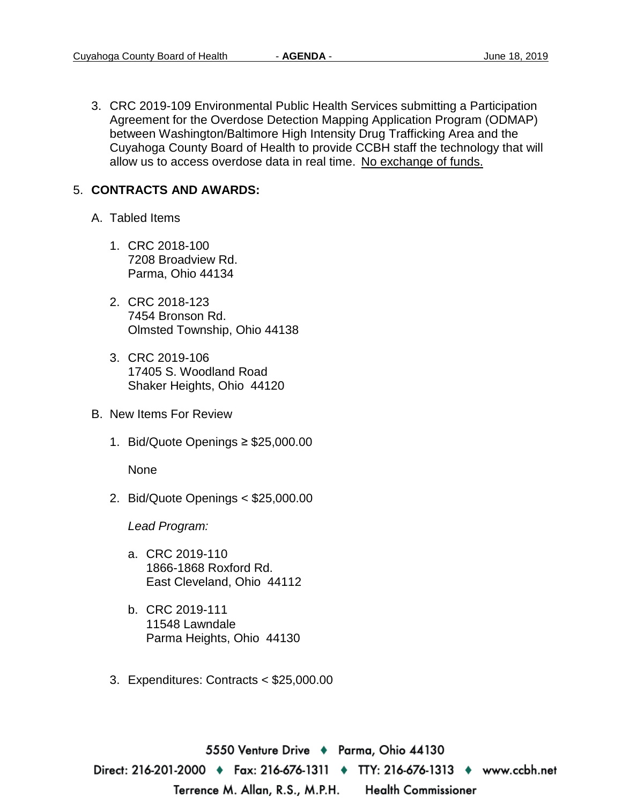3. CRC 2019-109 Environmental Public Health Services submitting a Participation Agreement for the Overdose Detection Mapping Application Program (ODMAP) between Washington/Baltimore High Intensity Drug Trafficking Area and the Cuyahoga County Board of Health to provide CCBH staff the technology that will allow us to access overdose data in real time. No exchange of funds.

#### 5. **CONTRACTS AND AWARDS:**

- A. Tabled Items
	- 1. CRC 2018-100 7208 Broadview Rd. Parma, Ohio 44134
	- 2. CRC 2018-123 7454 Bronson Rd. Olmsted Township, Ohio 44138
	- 3. CRC 2019-106 17405 S. Woodland Road Shaker Heights, Ohio 44120
- B. New Items For Review
	- 1. Bid/Quote Openings ≥ \$25,000.00

None

2. Bid/Quote Openings < \$25,000.00

*Lead Program:*

- a. CRC 2019-110 1866-1868 Roxford Rd. East Cleveland, Ohio 44112
- b. CRC 2019-111 11548 Lawndale Parma Heights, Ohio 44130
- 3. Expenditures: Contracts < \$25,000.00

5550 Venture Drive ♦ Parma, Ohio 44130 Direct: 216-201-2000 ♦ Fax: 216-676-1311 ♦ TTY: 216-676-1313 ♦ www.ccbh.net Terrence M. Allan, R.S., M.P.H. **Health Commissioner**